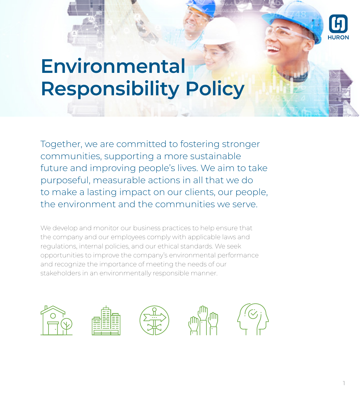# **Environmental Responsibility Policy**

Together, we are committed to fostering stronger communities, supporting a more sustainable future and improving people's lives. We aim to take purposeful, measurable actions in all that we do to make a lasting impact on our clients, our people, the environment and the communities we serve.

We develop and monitor our business practices to help ensure that the company and our employees comply with applicable laws and regulations, internal policies, and our ethical standards. We seek opportunities to improve the company's environmental performance and recognize the importance of meeting the needs of our stakeholders in an environmentally responsible manner.

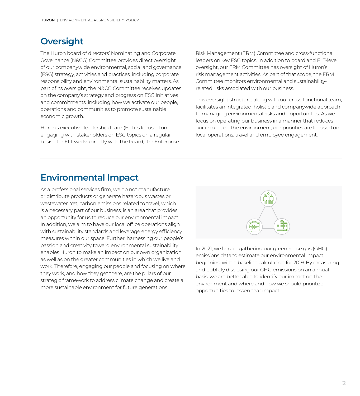# **Oversight**

The Huron board of directors' Nominating and Corporate Governance (N&CG) Committee provides direct oversight of our companywide environmental, social and governance (ESG) strategy, activities and practices, including corporate responsibility and environmental sustainability matters. As part of its oversight, the N&CG Committee receives updates on the company's strategy and progress on ESG initiatives and commitments, including how we activate our people, operations and communities to promote sustainable economic growth.

Huron's executive leadership team (ELT) is focused on engaging with stakeholders on ESG topics on a regular basis. The ELT works directly with the board, the Enterprise Risk Management (ERM) Committee and cross-functional leaders on key ESG topics. In addition to board and ELT-level oversight, our ERM Committee has oversight of Huron's risk management activities. As part of that scope, the ERM Committee monitors environmental and sustainabilityrelated risks associated with our business.

This oversight structure, along with our cross-functional team, facilitates an integrated, holistic and companywide approach to managing environmental risks and opportunities. As we focus on operating our business in a manner that reduces our impact on the environment, our priorities are focused on local operations, travel and employee engagement.

# **Environmental Impact**

As a professional services firm, we do not manufacture or distribute products or generate hazardous wastes or wastewater. Yet, carbon emissions related to travel, which is a necessary part of our business, is an area that provides an opportunity for us to reduce our environmental impact. In addition, we aim to have our local office operations align with sustainability standards and leverage energy efficiency measures within our space. Further, harnessing our people's passion and creativity toward environmental sustainability enables Huron to make an impact on our own organization as well as on the greater communities in which we live and work. Therefore, engaging our people and focusing on where they work, and how they get there, are the pillars of our strategic framework to address climate change and create a more sustainable environment for future generations.



In 2021, we began gathering our greenhouse gas (GHG) emissions data to estimate our environmental impact, beginning with a baseline calculation for 2019. By measuring and publicly disclosing our GHG emissions on an annual basis, we are better able to identify our impact on the environment and where and how we should prioritize opportunities to lessen that impact.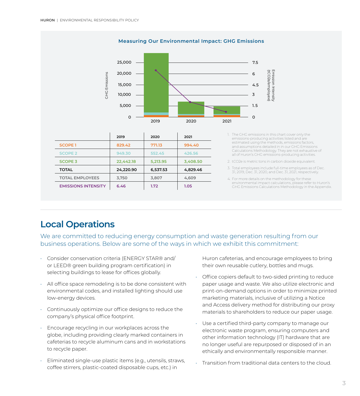25,000 7.5 Emission Intensity (tCO2e/employee) (tCO2e/employee) Emission Intensity 20,000 6 **GHG** Emissions GHG Emissions 15,000 4.5 10,000 3 5,000 1. 5  $\Omega$  $\Omega$ 2019 2020 2021

**Measuring Our Environmental Impact: GHG Emissions**

|  |                            | 2019      | 2020     | 2021     |
|--|----------------------------|-----------|----------|----------|
|  | <b>SCOPE 1</b>             | 829.42    | 771.13   | 994.40   |
|  | <b>SCOPE 2</b>             | 949.30    | 552.45   | 426.56   |
|  | <b>SCOPE 3</b>             | 22,442.18 | 5,213.95 | 3,408.50 |
|  | <b>TOTAL</b>               | 24,220.90 | 6,537.53 | 4,829.46 |
|  | <b>TOTAL EMPLOYEES</b>     | 3,750     | 3,807    | 4,609    |
|  | <b>EMISSIONS INTENSITY</b> | 6.46      | 1.72     | 1.05     |

#### 1. The GHG emissions in this chart cover only the emissions-producing activities listed and are estimated using the methods, emissions factors, and assumptions detailed in in our GHG Emissions Calculations Methodology. They are not exhaustive of all of Huron's GHG emissions-producing activities.

2. tCO2e is metric tons in carbon dioxide equivalent.

- 3. Total employees include full-time employees as of Dec. 31, 2019, Dec. 31, 2020, and Dec. 31, 2021, respectively.
- 4. For more details on the methodology for these environmental impact calculations, please refer to Huron's GHG Emissions Calculations Methodology in the Appendix.

# **Local Operations**

We are committed to reducing energy consumption and waste generation resulting from our business operations. Below are some of the ways in which we exhibit this commitment:

- Consider conservation criteria (ENERGY STAR® and/ or LEED® green building program certification) in selecting buildings to lease for offices globally.
- All office space remodeling is to be done consistent with environmental codes, and installed lighting should use low-energy devices.
- Continuously optimize our office designs to reduce the company's physical office footprint.
- Encourage recycling in our workplaces across the globe, including providing clearly marked containers in cafeterias to recycle aluminum cans and in workstations to recycle paper.
- Eliminated single-use plastic items (e.g., utensils, straws, coffee stirrers, plastic-coated disposable cups, etc.) in

Huron cafeterias, and encourage employees to bring their own reusable cutlery, bottles and mugs.

- Office copiers default to two-sided printing to reduce paper usage and waste. We also utilize electronic and print-on-demand options in order to minimize printed marketing materials, inclusive of utilizing a Notice and Access delivery method for distributing our proxy materials to shareholders to reduce our paper usage.
- Use a certified third-party company to manage our electronic waste program, ensuring computers and other information technology (IT) hardware that are no longer useful are repurposed or disposed of in an ethically and environmentally responsible manner.
- Transition from traditional data centers to the cloud.

#### **3**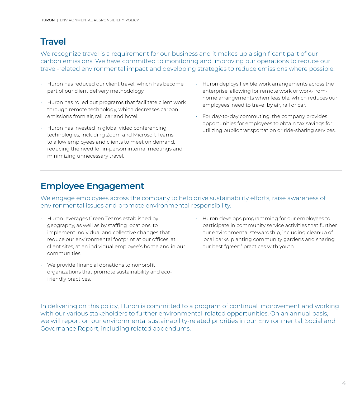# **Travel**

We recognize travel is a requirement for our business and it makes up a significant part of our carbon emissions. We have committed to monitoring and improving our operations to reduce our travel-related environmental impact and developing strategies to reduce emissions where possible.

- Huron has reduced our client travel, which has become part of our client delivery methodology.
- Huron has rolled out programs that facilitate client work through remote technology, which decreases carbon emissions from air, rail, car and hotel.
- Huron has invested in global video conferencing technologies, including Zoom and Microsoft Teams, to allow employees and clients to meet on demand, reducing the need for in-person internal meetings and minimizing unnecessary travel.
- Huron deploys flexible work arrangements across the enterprise, allowing for remote work or work-fromhome arrangements when feasible, which reduces our employees' need to travel by air, rail or car.
- For day-to-day commuting, the company provides opportunities for employees to obtain tax savings for utilizing public transportation or ride-sharing services.

# **Employee Engagement**

We engage employees across the company to help drive sustainability efforts, raise awareness of environmental issues and promote environmental responsibility.

- Huron leverages Green Teams established by geography, as well as by staffing locations, to implement individual and collective changes that reduce our environmental footprint at our offices, at client sites, at an individual employee's home and in our communities.
- We provide financial donations to nonprofit organizations that promote sustainability and ecofriendly practices.
- Huron develops programming for our employees to participate in community service activities that further our environmental stewardship, including cleanup of local parks, planting community gardens and sharing our best "green" practices with youth.

In delivering on this policy, Huron is committed to a program of continual improvement and working with our various stakeholders to further environmental-related opportunities. On an annual basis, we will report on our environmental sustainability-related priorities in our Environmental, Social and Governance Report, including related addendums.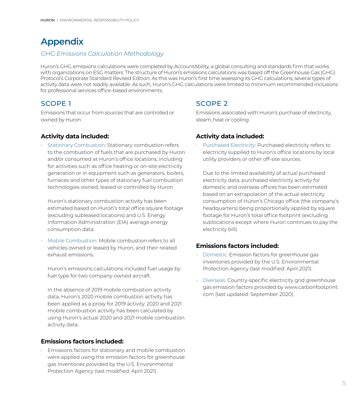# **Appendix**

### *GHG Emissions Calculation Methodology*

Huron's GHG emissions calculations were completed by AccountAbility, a global consulting and standards firm that works with organizations on ESG matters. The structure of Huron's emissions calculations was based off the Greenhouse Gas (GHG) Protocol's Corporate Standard Revised Edition. As this was Huron's first time assessing its GHG calculations, several types of activity data were not readily available. As such, Huron's GHG calculations were limited to minimum recommended inclusions for professional services office-based environments.

## SCOPE 1

Emissions that occur from sources that are controlled or owned by Huron

### **Activity data included:**

• Stationary Combustion: Stationary combustion refers to the combustion of fuels that are purchased by Huron and/or consumed at Huron's office locations, including for activities such as office heating or on-site electricity generation or in equipment such as generators, boilers, furnaces and other types of stationary fuel combustion technologies owned, leased or controlled by Huron.

Huron's stationary combustion activity has been estimated based on Huron's total office square footage (excluding subleased locations) and U.S. Energy Information Administration (EIA) average energy consumption data.

• Mobile Combustion: Mobile combustion refers to all vehicles owned or leased by Huron, and their related exhaust emissions.

Huron's emissions calculations included fuel usage by fuel type for two company-owned aircraft.

In the absence of 2019 mobile combustion activity data, Huron's 2020 mobile combustion activity has been applied as a proxy for 2019 activity. 2020 and 2021 mobile combustion activity has been calculated by using Huron's actual 2020 and 2021 mobile combustion activity data.

#### **Emissions factors included:**

• Emissions factors for stationary and mobile combustion were applied using the emission factors for greenhouse gas inventories provided by the U.S. Environmental Protection Agency (last modified: April 2021).

## SCOPE 2

Emissions associated with Huron's purchase of electricity, steam, heat or cooling

## **Activity data included:**

• Purchased Electricity: Purchased electricity refers to electricity supplied to Huron's office locations by local utility providers or other off-site sources.

Due to the limited availability of actual purchased electricity data, purchased electricity activity for domestic and overseas offices has been estimated based on an extrapolation of the actual electricity consumption of Huron's Chicago office (the company's headquarters) being proportionally applied by square footage for Huron's total office footprint (excluding sublocations except where Huron continues to pay the electricity bill).

## **Emissions factors included:**

- Domestic: Emission factors for greenhouse gas inventories provided by the U.S. Environmental Protection Agency (last modified: April 2021).
- Overseas: Country-specific electricity grid greenhouse gas emission factors provided by www.carbonfootprint. com (last updated: September 2020).